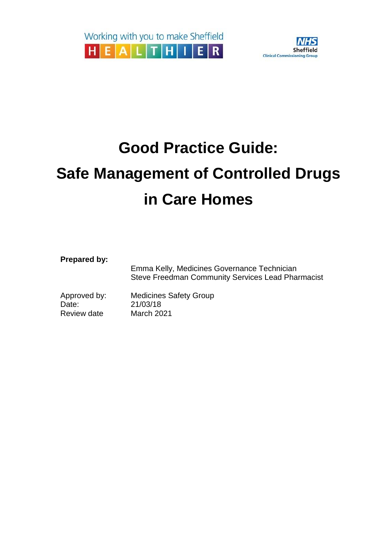

# **Good Practice Guide:**

# **Safe Management of Controlled Drugs in Care Homes**

**Prepared by:**

|              | Emma Kelly, Medicines Governance Technician<br><b>Steve Freedman Community Services Lead Pharmacist</b> |  |  |  |  |
|--------------|---------------------------------------------------------------------------------------------------------|--|--|--|--|
| Approved by: | <b>Medicines Safety Group</b>                                                                           |  |  |  |  |
| Date:        | 21/03/18                                                                                                |  |  |  |  |
| Review date  | March 2021                                                                                              |  |  |  |  |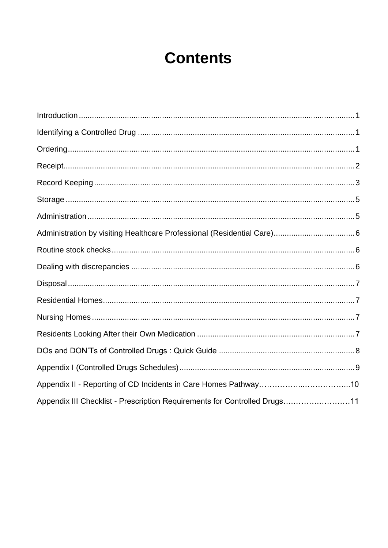## **Contents**

| Appendix III Checklist - Prescription Requirements for Controlled Drugs11 |  |
|---------------------------------------------------------------------------|--|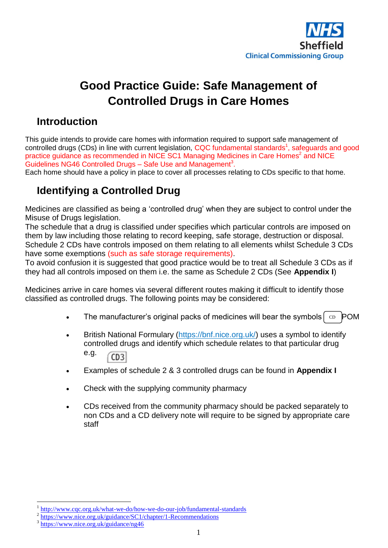

### **Good Practice Guide: Safe Management of Controlled Drugs in Care Homes**

#### <span id="page-2-0"></span>**Introduction**

<span id="page-2-2"></span>This guide intends to provide care homes with information required to support safe management of controlled drugs (CDs) in line with current legislation, CQC fundamental standards<sup>1</sup>, safeguards and good practice guidance as recommended in NICE SC1 Managing Medicines in Care Homes<sup>2</sup> and NICE Guidelines NG46 Controlled Drugs  $-$  Safe Use and Management<sup>3</sup>.

Each home should have a policy in place to cover all processes relating to CDs specific to that home.

### <span id="page-2-1"></span>**Identifying a Controlled Drug**

Medicines are classified as being a 'controlled drug' when they are subject to control under the Misuse of Drugs legislation.

The schedule that a drug is classified under specifies which particular controls are imposed on them by law including those relating to record keeping, safe storage, destruction or disposal. Schedule 2 CDs have controls imposed on them relating to all elements whilst Schedule 3 CDs have some exemptions (such as safe storage requirements).

To avoid confusion it is suggested that good practice would be to treat all Schedule 3 CDs as if they had all controls imposed on them i.e. the same as Schedule 2 CDs (See **Appendix I**)

Medicines arrive in care homes via several different routes making it difficult to identify those classified as controlled drugs. The following points may be considered:

- The manufacturer's original packs of medicines will bear the symbols  $\vert$  c POM
- British National Formulary [\(https://bnf.nice.org.uk/\)](https://bnf.nice.org.uk/) uses a symbol to identify controlled drugs and identify which schedule relates to that particular drug e.g.  $CD3$
- Examples of schedule 2 & 3 controlled drugs can be found in **Appendix I**
- Check with the supplying community pharmacy
- CDs received from the community pharmacy should be packed separately to non CDs and a CD delivery note will require to be signed by appropriate care staff

1

<sup>1</sup> <http://www.cqc.org.uk/what-we-do/how-we-do-our-job/fundamental-standards>

<sup>&</sup>lt;sup>2</sup> <https://www.nice.org.uk/guidance/SC1/chapter/1-Recommendations>

<sup>3</sup> <https://www.nice.org.uk/guidance/ng46>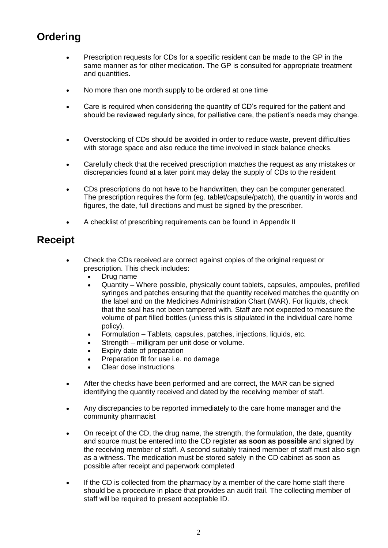### **Ordering**

- Prescription requests for CDs for a specific resident can be made to the GP in the same manner as for other medication. The GP is consulted for appropriate treatment and quantities.
- No more than one month supply to be ordered at one time
- Care is required when considering the quantity of CD's required for the patient and should be reviewed regularly since, for palliative care, the patient's needs may change.
- Overstocking of CDs should be avoided in order to reduce waste, prevent difficulties with storage space and also reduce the time involved in stock balance checks.
- Carefully check that the received prescription matches the request as any mistakes or discrepancies found at a later point may delay the supply of CDs to the resident
- CDs prescriptions do not have to be handwritten, they can be computer generated. The prescription requires the form (eg. tablet/capsule/patch), the quantity in words and figures, the date, full directions and must be signed by the prescriber.
- A checklist of prescribing requirements can be found in Appendix II

### <span id="page-3-0"></span>**Receipt**

- Check the CDs received are correct against copies of the original request or prescription. This check includes:
	- Drug name
	- Quantity Where possible, physically count tablets, capsules, ampoules, prefilled syringes and patches ensuring that the quantity received matches the quantity on the label and on the Medicines Administration Chart (MAR). For liquids, check that the seal has not been tampered with. Staff are not expected to measure the volume of part filled bottles (unless this is stipulated in the individual care home policy).
	- Formulation Tablets, capsules, patches, injections, liquids, etc.
	- Strength milligram per unit dose or volume.
	- Expiry date of preparation
	- Preparation fit for use i.e. no damage
	- Clear dose instructions
- After the checks have been performed and are correct, the MAR can be signed identifying the quantity received and dated by the receiving member of staff.
- Any discrepancies to be reported immediately to the care home manager and the community pharmacist
- On receipt of the CD, the drug name, the strength, the formulation, the date, quantity and source must be entered into the CD register **as soon as possible** and signed by the receiving member of staff. A second suitably trained member of staff must also sign as a witness. The medication must be stored safely in the CD cabinet as soon as possible after receipt and paperwork completed
- If the CD is collected from the pharmacy by a member of the care home staff there should be a procedure in place that provides an audit trail. The collecting member of staff will be required to present acceptable ID.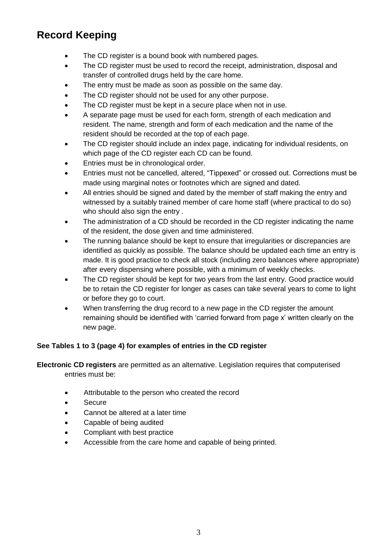### <span id="page-4-0"></span>**Record Keeping**

- The CD register is a bound book with numbered pages.
- The CD register must be used to record the receipt, administration, disposal and transfer of controlled drugs held by the care home.
- The entry must be made as soon as possible on the same day.
- The CD register should not be used for any other purpose.
- The CD register must be kept in a secure place when not in use.
- A separate page must be used for each form, strength of each medication and resident. The name, strength and form of each medication and the name of the resident should be recorded at the top of each page.
- The CD register should include an index page, indicating for individual residents, on which page of the CD register each CD can be found.
- Entries must be in chronological order.
- Entries must not be cancelled, altered, "Tippexed" or crossed out. Corrections must be made using marginal notes or footnotes which are signed and dated.
- All entries should be signed and dated by the member of staff making the entry and witnessed by a suitably trained member of care home staff (where practical to do so) who should also sign the entry .
- The administration of a CD should be recorded in the CD register indicating the name of the resident, the dose given and time administered.
- The running balance should be kept to ensure that irregularities or discrepancies are identified as quickly as possible. The balance should be updated each time an entry is made. It is good practice to check all stock (including zero balances where appropriate) after every dispensing where possible, with a minimum of weekly checks.
- The CD register should be kept for two years from the last entry. Good practice would be to retain the CD register for longer as cases can take several years to come to light or before they go to court.
- When transferring the drug record to a new page in the CD register the amount remaining should be identified with 'carried forward from page x' written clearly on the new page.

#### **See Tables 1 to 3 (page 4) for examples of entries in the CD register**

**Electronic CD registers** are permitted as an alternative. Legislation requires that computerised entries must be:

- Attributable to the person who created the record
- Secure
- Cannot be altered at a later time
- Capable of being audited
- Compliant with best practice
- Accessible from the care home and capable of being printed.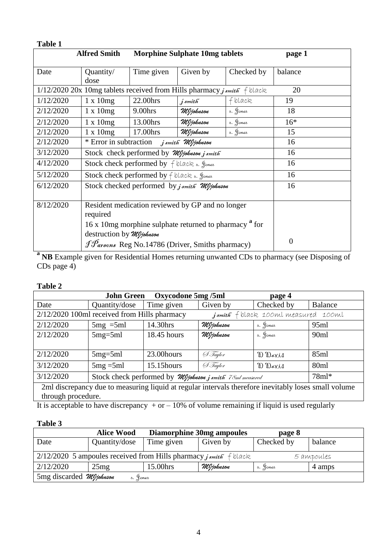| Table 1                                                                 |                                                                                               |            |                                       |            |                |
|-------------------------------------------------------------------------|-----------------------------------------------------------------------------------------------|------------|---------------------------------------|------------|----------------|
|                                                                         | <b>Alfred Smith</b>                                                                           |            | <b>Morphine Sulphate 10mg tablets</b> |            | page 1         |
|                                                                         |                                                                                               |            |                                       |            |                |
| Date                                                                    | Quantity/<br>dose                                                                             | Time given | Given by                              | Checked by | balance        |
| 1/12/2020 20x 10mg tablets received from Hills pharmacy j smith f black | 20                                                                                            |            |                                       |            |                |
| 1/12/2020                                                               | $1 \times 10mg$                                                                               | 22.00hrs   | $j$ smith                             | f black    | 19             |
| 2/12/2020                                                               | $1 \times 10mg$                                                                               | 9.00hrs    | MJjohnson                             | s. Jones   | 18             |
| 2/12/2020                                                               | $1 \times 10mg$                                                                               | 13.00hrs   | MJjohnson                             | s. Jones   | $16*$          |
| 2/12/2020                                                               | $1 \times 10mg$                                                                               | 17.00hrs   | MJjohnson                             | s. Jones   | 15             |
| 2/12/2020                                                               | * Error in subtraction<br>j smith" MJjohnson                                                  |            |                                       |            | 16             |
| 3/12/2020                                                               | Stock check performed by Myjohnson j smith                                                    |            |                                       |            | 16             |
| 4/12/2020                                                               | Stock check performed by f black s. Jones                                                     |            |                                       |            | 16             |
| 5/12/2020                                                               | Stock check performed by $f$ black $s$ . Jones                                                |            |                                       |            | 16             |
| 6/12/2020                                                               | Stock checked performed by j smith Mljohnson                                                  |            |                                       |            | 16             |
|                                                                         |                                                                                               |            |                                       |            |                |
| 8/12/2020                                                               | Resident medication reviewed by GP and no longer<br>required                                  |            |                                       |            |                |
|                                                                         | 16 x 10mg morphine sulphate returned to pharmacy <sup>a</sup> for<br>destruction by Mljohnson |            |                                       |            |                |
|                                                                         | J Parsons Reg No.14786 (Driver, Smiths pharmacy)                                              |            |                                       |            | $\overline{0}$ |

**a NB** Example given for Residential Homes returning unwanted CDs to pharmacy (see Disposing of CDs page 4)

#### **Table 2**

| <b>Oxycodone 5mg /5ml</b><br><b>John Green</b><br>page 4                                             |                                                                 |             |           |            |                  |
|------------------------------------------------------------------------------------------------------|-----------------------------------------------------------------|-------------|-----------|------------|------------------|
| Date                                                                                                 | Quantity/dose                                                   | Time given  | Given by  | Checked by | Balance          |
| 2/12/2020 100ml received from Hills pharmacy<br><i>jsmith</i> f black 100ml measured 100ml           |                                                                 |             |           |            |                  |
| 2/12/2020                                                                                            | $5mg = 5ml$                                                     | 14.30hrs    | MJjohnson | s. Jones   | 95ml             |
| 2/12/2020                                                                                            | $5mg = 5ml$                                                     | 18.45 hours | MJjohnson | s. Jones   | 90 <sub>ml</sub> |
|                                                                                                      |                                                                 |             |           |            |                  |
| 2/12/2020                                                                                            | $5mg = 5ml$                                                     | 23.00 hours | & Taylor  | D Davis    | 85ml             |
| 3/12/2020                                                                                            | $5mg = 5ml$                                                     | 15.15 hours | & Taylor  | D Davis    | 80 <sub>ml</sub> |
| 3/12/2020                                                                                            | Stock check performed by <i>MIjohnson j smith</i> 78ml measured |             |           |            | $78ml*$          |
| 2ml discrepancy due to measuring liquid at regular intervals therefore inevitably loses small volume |                                                                 |             |           |            |                  |
| through procedure.                                                                                   |                                                                 |             |           |            |                  |

It is acceptable to have discrepancy  $+ or - 10\%$  of volume remaining if liquid is used regularly

#### **Table 3**

|                                                                                   | <b>Alice Wood</b> | <b>Diamorphine 30mg ampoules</b> |           | page 8     |         |  |
|-----------------------------------------------------------------------------------|-------------------|----------------------------------|-----------|------------|---------|--|
| Date                                                                              | Quantity/dose     | Time given                       | Given by  | Checked by | balance |  |
| $2/12/2020$ 5 ampoules received from Hills pharmacy j smith f black<br>5 ampoules |                   |                                  |           |            |         |  |
| 2/12/2020                                                                         | 25mg              | 15.00hrs                         | MJjohnson | s. Jones   | 4 amps  |  |
| 5mg discarded Mljohnson<br>s. Jones                                               |                   |                                  |           |            |         |  |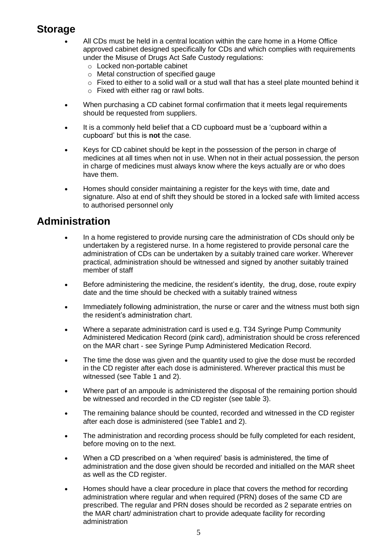#### <span id="page-6-0"></span>**Storage**

- All CDs must be held in a central location within the care home in a Home Office approved cabinet designed specifically for CDs and which complies with requirements under the Misuse of Drugs Act Safe Custody regulations:
	- o Locked non-portable cabinet
	- o Metal construction of specified gauge
	- $\circ$  Fixed to either to a solid wall or a stud wall that has a steel plate mounted behind it
	- o Fixed with either rag or rawl bolts.
- When purchasing a CD cabinet formal confirmation that it meets legal requirements should be requested from suppliers.
- It is a commonly held belief that a CD cupboard must be a 'cupboard within a cupboard' but this is **not** the case.
- Keys for CD cabinet should be kept in the possession of the person in charge of medicines at all times when not in use. When not in their actual possession, the person in charge of medicines must always know where the keys actually are or who does have them.
- Homes should consider maintaining a register for the keys with time, date and signature. Also at end of shift they should be stored in a locked safe with limited access to authorised personnel only

#### <span id="page-6-1"></span>**Administration**

- In a home registered to provide nursing care the administration of CDs should only be undertaken by a registered nurse. In a home registered to provide personal care the administration of CDs can be undertaken by a suitably trained care worker. Wherever practical, administration should be witnessed and signed by another suitably trained member of staff
- Before administering the medicine, the resident's identity, the drug, dose, route expiry date and the time should be checked with a suitably trained witness
- Immediately following administration, the nurse or carer and the witness must both sign the resident's administration chart.
- Where a separate administration card is used e.g. T34 Syringe Pump Community Administered Medication Record (pink card), administration should be cross referenced on the MAR chart - see Syringe Pump Administered Medication Record.
- The time the dose was given and the quantity used to give the dose must be recorded in the CD register after each dose is administered. Wherever practical this must be witnessed (see Table 1 and 2).
- Where part of an ampoule is administered the disposal of the remaining portion should be witnessed and recorded in the CD register (see table 3).
- The remaining balance should be counted, recorded and witnessed in the CD register after each dose is administered (see Table1 and 2).
- The administration and recording process should be fully completed for each resident, before moving on to the next.
- When a CD prescribed on a 'when required' basis is administered, the time of administration and the dose given should be recorded and initialled on the MAR sheet as well as the CD register.
- Homes should have a clear procedure in place that covers the method for recording administration where regular and when required (PRN) doses of the same CD are prescribed. The regular and PRN doses should be recorded as 2 separate entries on the MAR chart/ administration chart to provide adequate facility for recording administration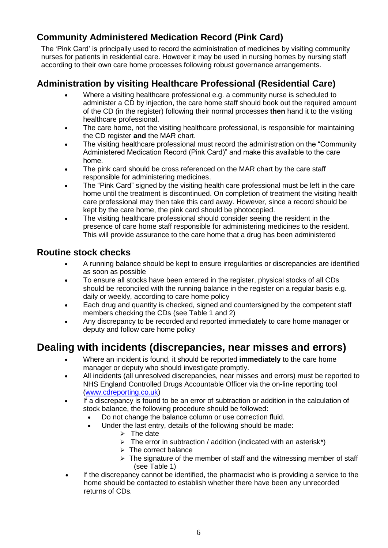#### <span id="page-7-0"></span>**Community Administered Medication Record (Pink Card)**

The 'Pink Card' is principally used to record the administration of medicines by visiting community nurses for patients in residential care. However it may be used in nursing homes by nursing staff according to their own care home processes following robust governance arrangements.

#### **Administration by visiting Healthcare Professional (Residential Care)**

- Where a visiting healthcare professional e.g. a community nurse is scheduled to administer a CD by injection, the care home staff should book out the required amount of the CD (in the register) following their normal processes **then** hand it to the visiting healthcare professional.
- The care home, not the visiting healthcare professional, is responsible for maintaining the CD register **and** the MAR chart.
- The visiting healthcare professional must record the administration on the "Community Administered Medication Record (Pink Card)" and make this available to the care home.
- The pink card should be cross referenced on the MAR chart by the care staff responsible for administering medicines.
- The "Pink Card" signed by the visiting health care professional must be left in the care home until the treatment is discontinued. On completion of treatment the visiting health care professional may then take this card away. However, since a record should be kept by the care home, the pink card should be photocopied.
- <span id="page-7-1"></span> The visiting healthcare professional should consider seeing the resident in the presence of care home staff responsible for administering medicines to the resident. This will provide assurance to the care home that a drug has been administered

#### **Routine stock checks**

- A running balance should be kept to ensure irregularities or discrepancies are identified as soon as possible
- To ensure all stocks have been entered in the register, physical stocks of all CDs should be reconciled with the running balance in the register on a regular basis e.g. daily or weekly, according to care home policy
- Each drug and quantity is checked, signed and countersigned by the competent staff members checking the CDs (see Table 1 and 2)
- Any discrepancy to be recorded and reported immediately to care home manager or deputy and follow care home policy

### <span id="page-7-2"></span>**Dealing with incidents (discrepancies, near misses and errors)**

- Where an incident is found, it should be reported **immediately** to the care home manager or deputy who should investigate promptly.
- All incidents (all unresolved discrepancies, near misses and errors) must be reported to NHS England Controlled Drugs Accountable Officer via the on-line reporting tool [\(www.cdreporting.co.uk\)](http://www.cdreporting.co.uk/)
- If a discrepancy is found to be an error of subtraction or addition in the calculation of stock balance, the following procedure should be followed:
	- Do not change the balance column or use correction fluid.
	- Under the last entry, details of the following should be made:
		- $\triangleright$  The date
		- $\triangleright$  The error in subtraction / addition (indicated with an asterisk\*)
		- $\triangleright$  The correct balance
		- $\triangleright$  The signature of the member of staff and the witnessing member of staff (see Table 1)
- If the discrepancy cannot be identified, the pharmacist who is providing a service to the home should be contacted to establish whether there have been any unrecorded returns of CDs.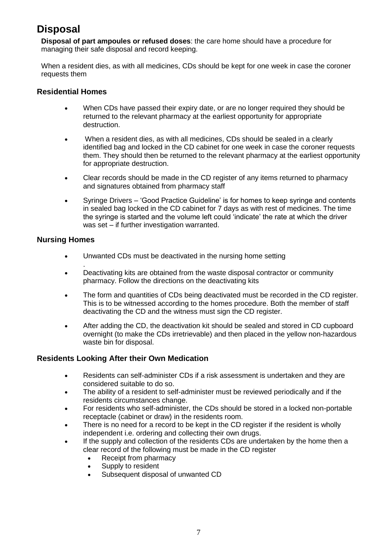### <span id="page-8-0"></span>**Disposal**

**Disposal of part ampoules or refused doses**: the care home should have a procedure for managing their safe disposal and record keeping.

When a resident dies, as with all medicines, CDs should be kept for one week in case the coroner requests them

#### <span id="page-8-1"></span>**Residential Homes**

- When CDs have passed their expiry date, or are no longer required they should be returned to the relevant pharmacy at the earliest opportunity for appropriate destruction.
- When a resident dies, as with all medicines, CDs should be sealed in a clearly identified bag and locked in the CD cabinet for one week in case the coroner requests them. They should then be returned to the relevant pharmacy at the earliest opportunity for appropriate destruction.
- Clear records should be made in the CD register of any items returned to pharmacy and signatures obtained from pharmacy staff
- Syringe Drivers 'Good Practice Guideline' is for homes to keep syringe and contents in sealed bag locked in the CD cabinet for 7 days as with rest of medicines. The time the syringe is started and the volume left could 'indicate' the rate at which the driver was set – if further investigation warranted.

#### <span id="page-8-2"></span>**Nursing Homes**

- Unwanted CDs must be deactivated in the nursing home setting
- . Deactivating kits are obtained from the waste disposal contractor or community pharmacy. Follow the directions on the deactivating kits
- The form and quantities of CDs being deactivated must be recorded in the CD register. This is to be witnessed according to the homes procedure. Both the member of staff deactivating the CD and the witness must sign the CD register.
- After adding the CD, the deactivation kit should be sealed and stored in CD cupboard overnight (to make the CDs irretrievable) and then placed in the yellow non-hazardous waste bin for disposal.

#### <span id="page-8-3"></span>**Residents Looking After their Own Medication**

- Residents can self-administer CDs if a risk assessment is undertaken and they are considered suitable to do so.
- The ability of a resident to self-administer must be reviewed periodically and if the residents circumstances change.
- For residents who self-administer, the CDs should be stored in a locked non-portable receptacle (cabinet or draw) in the residents room.
- There is no need for a record to be kept in the CD register if the resident is wholly independent i.e. ordering and collecting their own drugs.
- If the supply and collection of the residents CDs are undertaken by the home then a clear record of the following must be made in the CD register
	- Receipt from pharmacy
	- Supply to resident
	- Subsequent disposal of unwanted CD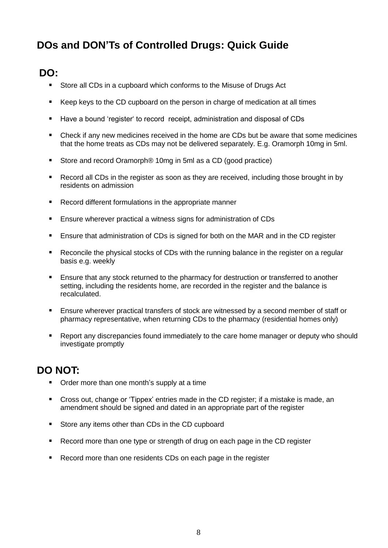### <span id="page-9-0"></span>**DOs and DON'Ts of Controlled Drugs: Quick Guide**

### **DO:**

- Store all CDs in a cupboard which conforms to the Misuse of Drugs Act
- Keep keys to the CD cupboard on the person in charge of medication at all times
- Have a bound 'register' to record receipt, administration and disposal of CDs
- Check if any new medicines received in the home are CDs but be aware that some medicines that the home treats as CDs may not be delivered separately. E.g. Oramorph 10mg in 5ml.
- Store and record Oramorph<sup>®</sup> 10mg in 5ml as a CD (good practice)
- Record all CDs in the register as soon as they are received, including those brought in by residents on admission
- Record different formulations in the appropriate manner
- Ensure wherever practical a witness signs for administration of CDs
- Ensure that administration of CDs is signed for both on the MAR and in the CD register
- Reconcile the physical stocks of CDs with the running balance in the register on a regular basis e.g. weekly
- **Ensure that any stock returned to the pharmacy for destruction or transferred to another** setting, including the residents home, are recorded in the register and the balance is recalculated.
- **Ensure wherever practical transfers of stock are witnessed by a second member of staff or** pharmacy representative, when returning CDs to the pharmacy (residential homes only)
- Report any discrepancies found immediately to the care home manager or deputy who should investigate promptly

### **DO NOT:**

- Order more than one month's supply at a time
- Cross out, change or 'Tippex' entries made in the CD register; if a mistake is made, an amendment should be signed and dated in an appropriate part of the register
- Store any items other than CDs in the CD cupboard
- Record more than one type or strength of drug on each page in the CD register
- Record more than one residents CDs on each page in the register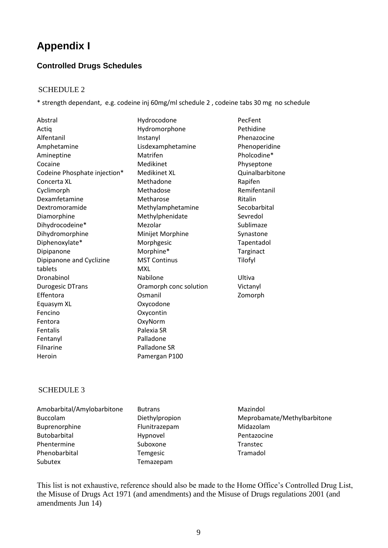### <span id="page-10-0"></span>**Appendix I**

#### **Controlled Drugs Schedules**

#### SCHEDULE 2

\* strength dependant, e.g. codeine inj 60mg/ml schedule 2 , codeine tabs 30 mg no schedule

Abstral **Abstral Abstral Abstral** Actiq **Actiq** Hydromorphone Pethidine Alfentanil Amphetamine Amineptine **Matrifen** Matrifen **Pholcodine**\* Cocaine **Medikinet** Physeptone Codeine Phosphate injection\* Medikinet XL **Quinalbarbitone** Concerta XL Methadone Methadone Rapifen Cyclimorph Methadose Remifentanil Dexamfetamine Metharose Ritalin Dextromoramide Methylamphetamine Secobarbital Diamorphine Methylphenidate Sevredol Dihydrocodeine\* Mezolar Mezolar Sublimaze Dihydromorphine Minijet Morphine Synastone Diphenoxylate\* Morphgesic Tapentadol Dipipanone Morphine\* Targinact Dipipanone and Cyclizine tablets Dronabinol **Nabilone** Nabilone Ultiva Durogesic DTrans Oramorph conc solution Victanyl Effentora **Community** Osmanil **Community Zomorph** Equasym XL Oxycodone Fencino Oxycontin Fentora OxyNorm Fentalis **Palexia SR** Fentanyl **Palladone** Filnarine Palladone SR Heroin Pamergan P100

Instanyl Lisdexamphetamine MST Continus MXL

Phenazocine Phenoperidine Tilofyl

#### SCHEDULE 3

Phentermine Suboxone Transtec Phenobarbital Temgesic Tramadol Subutex Temazepam Amobarbital/Amylobarbitone Butrans Mazindol Buccolam Diethylpropion Meprobamate/Methylbarbitone Buprenorphine Flunitrazepam Midazolam Butobarbital **Exercise Hypnovel** Hypnovel Pentazocine

This list is not exhaustive, reference should also be made to the Home Office's Controlled Drug List, the Misuse of Drugs Act 1971 (and amendments) and the Misuse of Drugs regulations 2001 (and amendments Jun 14)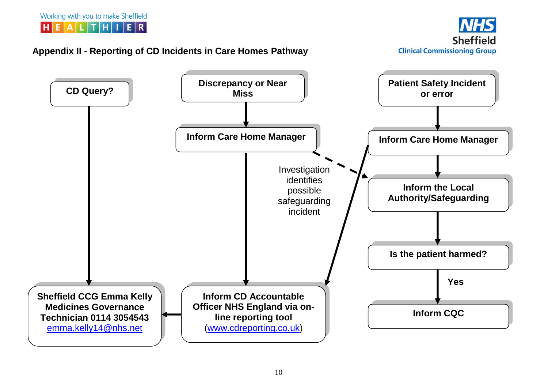

#### **Appendix II - Reporting of CD Incidents in Care Homes Pathway**